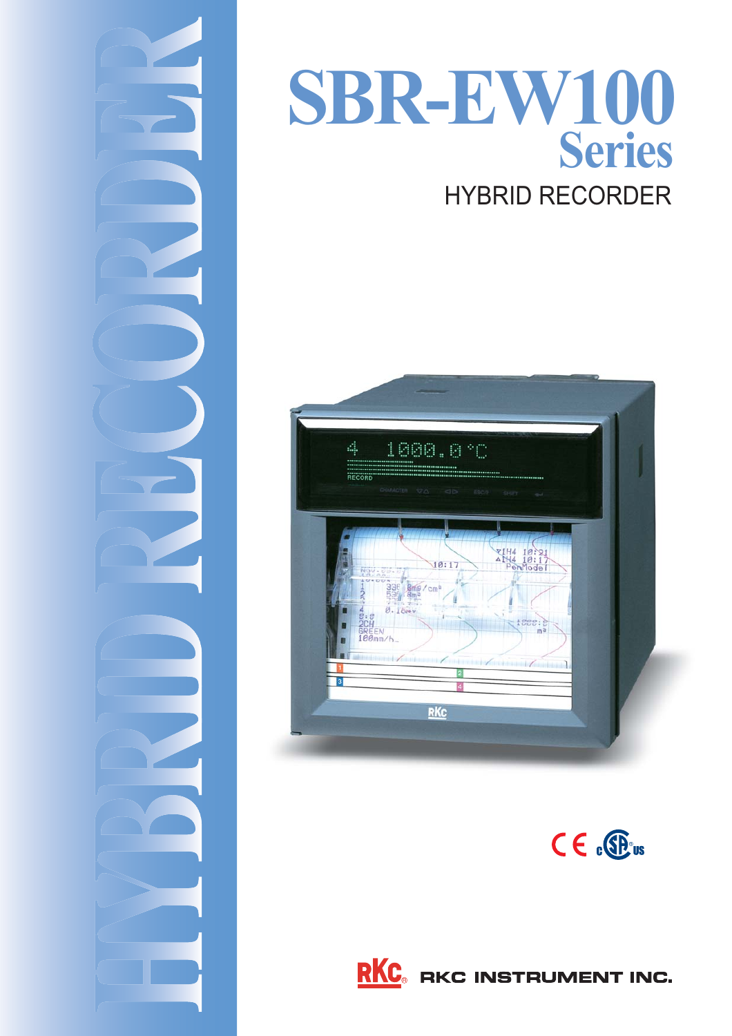

# HYBRID RECORDER **SBR-EW100 Series**







**RKC** RKC INSTRUMENT INC.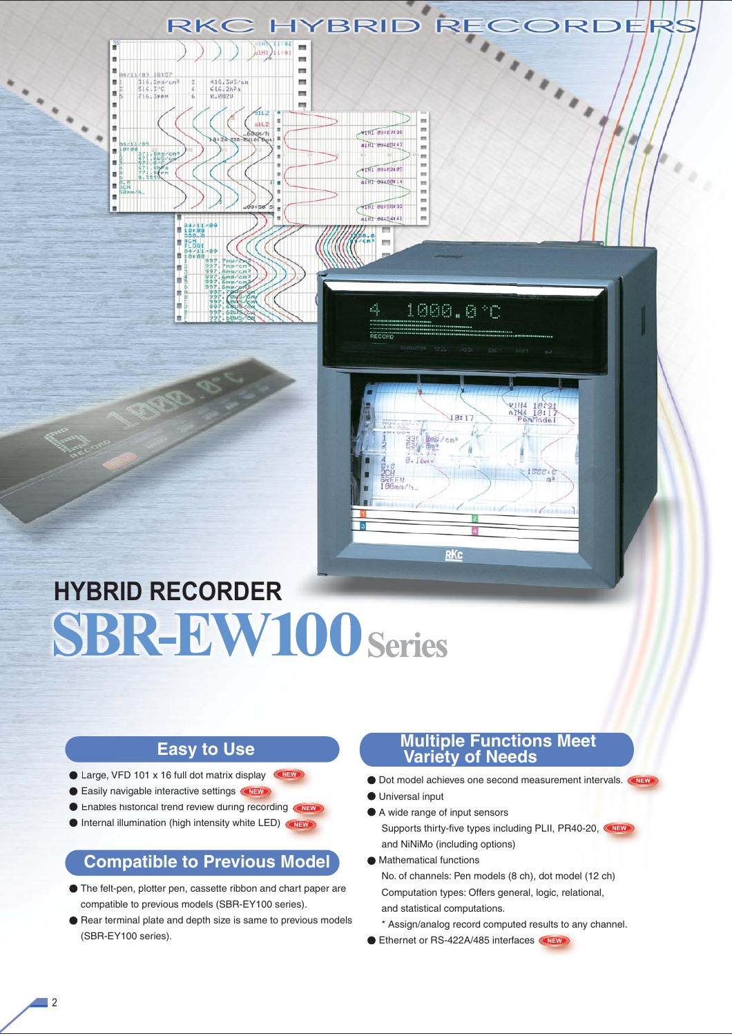

## **HYBRID RECORDER SBR-EW100 Series**

### **Easy to Use**

- Large, VFD 101 x 16 full dot matrix display **CNEW**
- Easily navigable interactive settings <**NEW**
- **Enables historical trend review during recording <b>NEW**
- Internal illumination (high intensity white LED) **NEW**

## **Compatible to Previous Model**

- The felt-pen, plotter pen, cassette ribbon and chart paper are compatible to previous models (SBR-EY100 series).
- Rear terminal plate and depth size is same to previous models (SBR-EY100 series).

### **Multiple Functions Meet Variety of Needs**

- Dot model achieves one second measurement intervals. **NEW**
- Universal input
- A wide range of input sensors

**RKc** 

 Supports thirty-five types including PLII, PR40-20, **NEW**and NiNiMo (including options)

- Mathematical functions No. of channels: Pen models (8 ch), dot model (12 ch) Computation types: Offers general, logic, relational, and statistical computations.
- \* Assign/analog record computed results to any channel.
- Ethernet or RS-422A/485 interfaces <NEW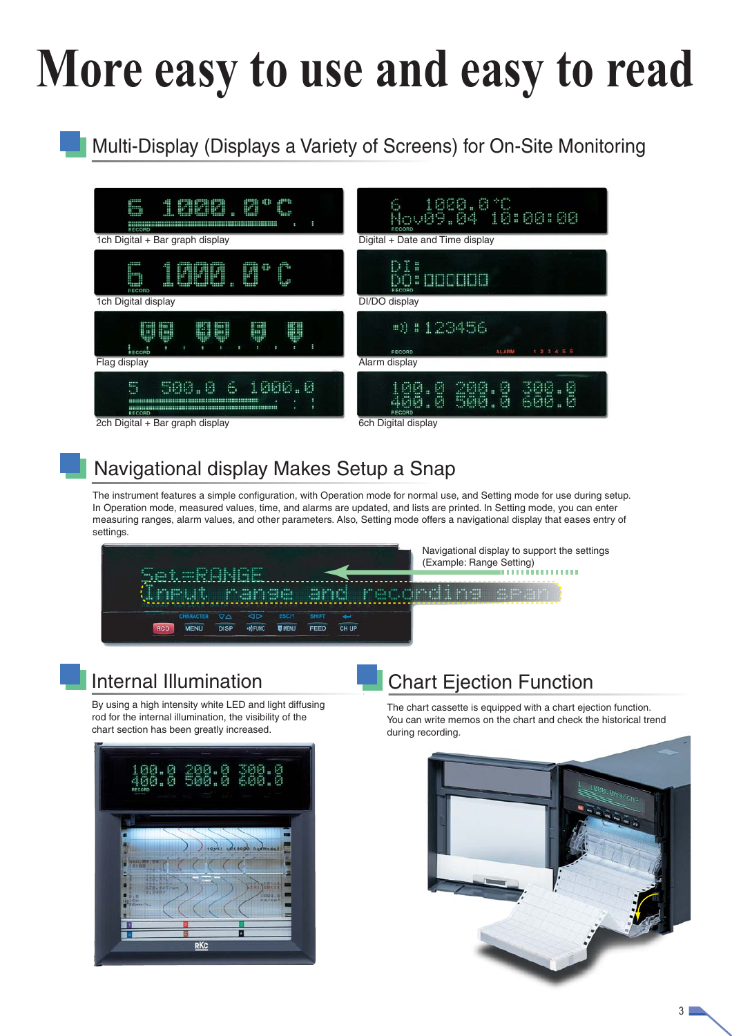# **More easy to use and easy to read**

## Multi-Display (Displays a Variety of Screens) for On-Site Monitoring



## Navigational display Makes Setup a Snap

The instrument features a simple configuration, with Operation mode for normal use, and Setting mode for use during setup. In Operation mode, measured values, time, and alarms are updated, and lists are printed. In Setting mode, you can enter measuring ranges, alarm values, and other parameters. Also, Setting mode offers a navigational display that eases entry of settings.



## Internal Illumination

By using a high intensity white LED and light diffusing rod for the internal illumination, the visibility of the chart section has been greatly increased.



## Chart Ejection Function

The chart cassette is equipped with a chart ejection function. You can write memos on the chart and check the historical trend during recording.

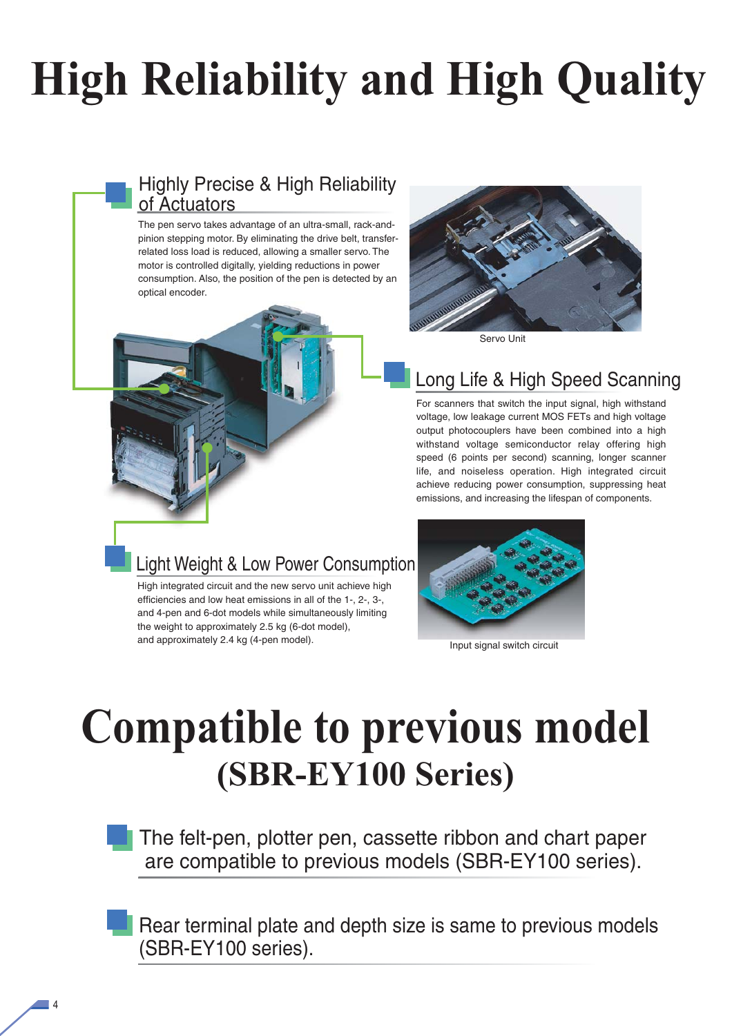# **High Reliability and High Quality**

## Highly Precise & High Reliability of Actuators

The pen servo takes advantage of an ultra-small, rack-andpinion stepping motor. By eliminating the drive belt, transferrelated loss load is reduced, allowing a smaller servo. The motor is controlled digitally, yielding reductions in power consumption. Also, the position of the pen is detected by an optical encoder.



High integrated circuit and the new servo unit achieve high efficiencies and low heat emissions in all of the 1-, 2-, 3-, and 4-pen and 6-dot models while simultaneously limiting the weight to approximately 2.5 kg (6-dot model), and approximately 2.4 kg (4-pen model).



Servo Unit

## Long Life & High Speed Scanning

For scanners that switch the input signal, high withstand voltage, low leakage current MOS FETs and high voltage output photocouplers have been combined into a high withstand voltage semiconductor relay offering high speed (6 points per second) scanning, longer scanner life, and noiseless operation. High integrated circuit achieve reducing power consumption, suppressing heat emissions, and increasing the lifespan of components.



Input signal switch circuit

## **Compatible to previous model (SBR-EY100 Series)**

The felt-pen, plotter pen, cassette ribbon and chart paper are compatible to previous models (SBR-EY100 series).

Rear terminal plate and depth size is same to previous models (SBR-EY100 series).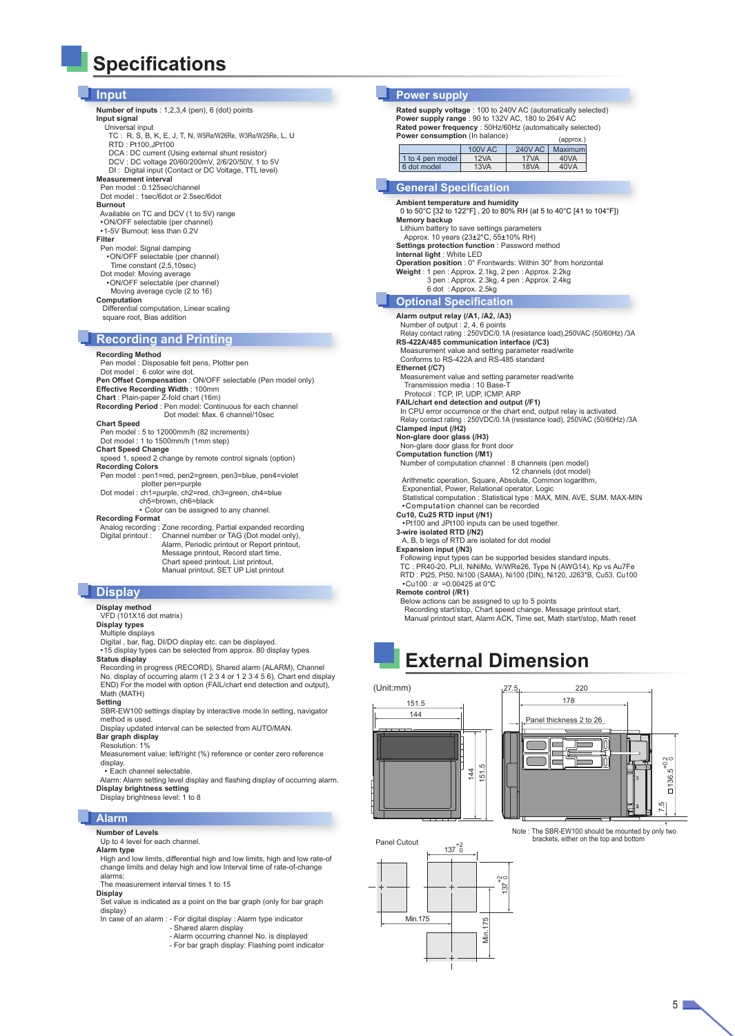## **Specifications**

- **Input Number of inputs** : 1,2,3,4 (pen), 6 (dot) points **Input signal** Universal input TC : R, S, B, K, E, J, T, N, W5Re/W26Re, W3Re/W25Re, L, U RTD : Pt100,JPt100 DCA : DC current (Using external shunt resistor) DCV : DC voltage 20/60/200mV, 2/6/20/50V, 1 to 5V DI : Digital input (Contact or DC Voltage, TTL level) **Measurement interval** Pen model : 0.125sec/channel Dot model : 1sec/6dot or 2.5sec/6dot **Burnout** Available on TC and DCV (1 to 5V) range •ON/OFF selectable (per channel) •1-5V Burnout: less than 0.2V **Filter** Pen model: Signal damping •ON/OFF selectable (per channel) Time constant (2,5,10sec) Dot model: Moving average •ON/OFF selectable (per channel) Moving average cycle (2 to 16)
	- **Computation** Differential computation, Linear scaling square root, Bias addition

#### **Recording and Printing**

**Recording Method** Pen model : Disposable felt pens, Plotter pen Dot model : 6 color wire dot. **Pen Offset Compensation** : ON/OFF selectable (Pen model only) **Effective Recording Width** : 100mm **Chart** : Plain-paper Z-fold chart (16m) **Recording Period** : Pen model: Continuous for each channel Dot model: Max. 6 channel/10sec **Chart Speed** Pen model : 5 to 12000mm/h (82 increments) Dot model : 1 to 1500mm/h (1mm step) **Chart Speed Change** speed 1, speed 2 change by remote control signals (option) **Recording Colors** Pen model : pen1=red, pen2=green, pen3=blue, pen4=violet plotter pen=purple Dot model : ch1=purple, ch2=red, ch3=green, ch4=blue ch5=brown, ch6=black • Color can be assigned to any channel. **Recording Format** Analog recording : Zone recording, Partial expanded recording Digital printout : Channel number or TAG (Dot model only), Alarm, Periodic printout or Report printout, Message printout, Record start time, Chart speed printout, List printout, Manual printout, SET UP List printout

### **Display**

**Display method**

- VFD (101X16 dot matrix)
- **Display types** Multiple displays
- 

Digital , bar, flag, DI/DO display etc. can be displayed. •15 display types can be selected from approx. 80 display types. **Status display**

Recording in progress (RECORD), Shared alarm (ALARM), Channel<br>No. display of occurring alarm (1 2 3 4 or 1 2 3 4 5 6), Chart end display<br>END) For the model with option (FAIL/chart end detection and output), Math (MATH)

**Setting**<br>SBR-EW100 settings display by interactive mode.In setting, navigator<br>method is used. Display updated interval can be selected from AUTO/MAN.

**Bar graph display**

#### Resolution: 1%

Measurement value: left/right (%) reference or center zero reference display.

• Each channel selectable.

Alarm: Alarm setting level display and flashing display of occurring alarm. **Display brightness setting** Display brightness level: 1 to 8

#### **Alarm**

**Number of Levels**

#### Up to 4 level for each channel.

**Alarm type** High and low limits, differential high and low limits, high and low rate-of change limits and delay high and low Interval time of rate-of-change alarms:

The measurement interval times 1 to 15

**Display** Set value is indicated as a point on the bar graph (only for bar graph display)

In case of an alarm : - For digital display : Alarm type indicator

- Shared alarm display Alarm occurring channel No. is displayed
	- For bar graph display: Flashing point indicator

### **Power supply**

**Rated supply voltage** : 100 to 240V AC (automatically selected) **Power supply range** : 90 to 132V AC, 180 to 264V AC **Rated power frequency** : 50Hz/60Hz (automatically selected) **Power consumption** (In balance) (approx.)

|                  | 100V AC | <b>240V AC</b> | Maximuml |
|------------------|---------|----------------|----------|
| 1 to 4 pen model | 12VA    | 17VA           | 40VA     |
| 6 dot model      | 13VA    | <b>18VA</b>    | 40VA     |
|                  |         |                |          |

#### **General Specification**

**Ambient temperature and humidity** 0 to 50°C [32 to 122°F] , 20 to 80% RH (at 5 to 40°C [41 to 104°F]) **Memory backup** Lithium battery to save settings parameters Approx. 10 years (23±2°C, 55±10% RH) **Settings protection function** : Password method **Internal light** : White LED **Operation position** : 0° Frontwards: Within 30° from horizontal **Weight** : 1 pen : Approx. 2.1kg, 2 pen : Approx. 2.2kg 3 pen : Approx. 2.3kg, 4 pen : Approx. 2.4kg 6 dot : Approx. 2.5kg **Optional Specification**

**Alarm output relay (/A1, /A2, /A3)** Number of output : 2, 4, 6 points Relay contact rating : 250VDC/0.1A (resistance load),250VAC (50/60Hz) /3A **RS-422A/485 communication interface (/C3)** Measurement value and setting parameter read/write Conforms to RS-422A and RS-485 standard **Ethernet (/C7)** Measurement value and setting parameter read/write Transmission media : 10 Base-T Protocol : TCP, IP, UDP, ICMP, ARP **FAIL/chart end detection and output (/F1)** In CPU error occurrence or the chart end, output relay is activated. Relay contact rating : 250VDC/0.1A (resistance load), 250VAC (50/60Hz) /3A **Clamped input (/H2) Non-glare door glass (/H3)** Non-glare door glass for front door **Computation function (/M1)** Number of computation channel : 8 channels (pen model) 12 channels (dot model) Arithmetic operation, Square, Absolute, Common logarithm, Exponential, Power, Relational operator, Logic Statistical computation : Statistical type : MAX, MIN, AVE, SUM, MAX-MIN •Computation channel can be recorded **Cu10, Cu25 RTD input (/N1)** •Pt100 and JPt100 inputs can be used together. **3-wire isolated RTD (/N2)** A, B, b legs of RTD are isolated for dot model **Expansion input (/N3)**

Following input types can be supported besides standard inputs. TC : PR40-20, PLII, NiNiMo, W/WRe26, Type N (AWG14), Kp vs Au7Fe RTD : Pt25, Pt50, Ni100 (SAMA), Ni100 (DIN), Ni120, J263\*B, Cu53, Cu100<br> ∙Cu100 : α =0.00425 at 0℃

**Remote control (/R1)**

Below actions can be assigned to up to 5 points Recording start/stop, Chart speed change, Message printout start, Manual printout start, Alarm ACK, Time set, Math start/stop, Math reset

## **External Dimension**

(Unit:mm)







 $5\Box$